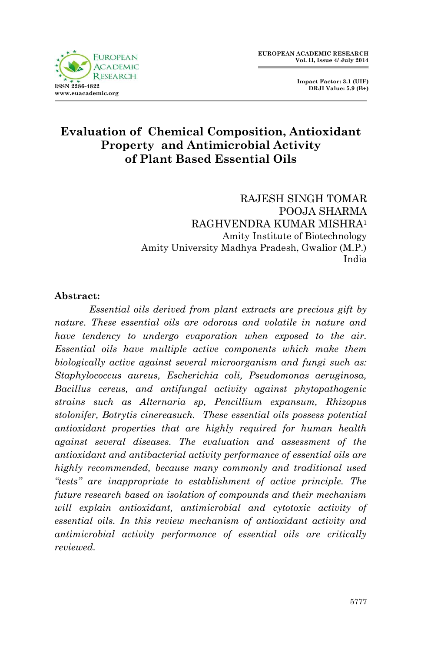

 **Impact Factor: 3.1 (UIF) DRJI Value: 5.9 (B+)**

#### **Evaluation of Chemical Composition, Antioxidant Property and Antimicrobial Activity of Plant Based Essential Oils**

RAJESH SINGH TOMAR POOJA SHARMA RAGHVENDRA KUMAR MISHRA<sup>1</sup> Amity Institute of Biotechnology Amity University Madhya Pradesh, Gwalior (M.P.) India

#### **Abstract:**

*Essential oils derived from plant extracts are precious gift by nature. These essential oils are odorous and volatile in nature and have tendency to undergo evaporation when exposed to the air. Essential oils have multiple active components which make them biologically active against several microorganism and fungi such as: Staphylococcus aureus, Escherichia coli, Pseudomonas aeruginosa, Bacillus cereus, and antifungal activity against phytopathogenic strains such as Alternaria sp, Pencillium expansum, Rhizopus stolonifer, Botrytis cinereasuch. These essential oils possess potential antioxidant properties that are highly required for human health against several diseases. The evaluation and assessment of the antioxidant and antibacterial activity performance of essential oils are highly recommended, because many commonly and traditional used "tests" are inappropriate to establishment of active principle. The future research based on isolation of compounds and their mechanism will explain antioxidant, antimicrobial and cytotoxic activity of essential oils. In this review mechanism of antioxidant activity and antimicrobial activity performance of essential oils are critically reviewed.*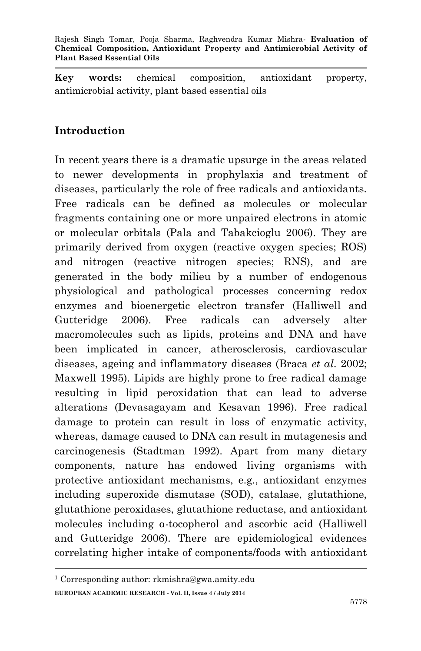**Key words:** chemical composition, antioxidant property, antimicrobial activity, plant based essential oils

### **Introduction**

In recent years there is a dramatic upsurge in the areas related to newer developments in prophylaxis and treatment of diseases, particularly the role of free radicals and antioxidants. Free radicals can be defined as molecules or molecular fragments containing one or more unpaired electrons in atomic or molecular orbitals (Pala and Tabakcioglu 2006). They are primarily derived from oxygen (reactive oxygen species; ROS) and nitrogen (reactive nitrogen species; RNS), and are generated in the body milieu by a number of endogenous physiological and pathological processes concerning redox enzymes and bioenergetic electron transfer (Halliwell and Gutteridge 2006). Free radicals can adversely alter macromolecules such as lipids, proteins and DNA and have been implicated in cancer, atherosclerosis, cardiovascular diseases, ageing and inflammatory diseases (Braca *et al*. 2002; Maxwell 1995). Lipids are highly prone to free radical damage resulting in lipid peroxidation that can lead to adverse alterations (Devasagayam and Kesavan 1996). Free radical damage to protein can result in loss of enzymatic activity, whereas, damage caused to DNA can result in mutagenesis and carcinogenesis (Stadtman 1992). Apart from many dietary components, nature has endowed living organisms with protective antioxidant mechanisms, e.g., antioxidant enzymes including superoxide dismutase (SOD), catalase, glutathione, glutathione peroxidases, glutathione reductase, and antioxidant molecules including α-tocopherol and ascorbic acid (Halliwell and Gutteridge 2006). There are epidemiological evidences correlating higher intake of components/foods with antioxidant

**EUROPEAN ACADEMIC RESEARCH - Vol. II, Issue 4 / July 2014** <sup>1</sup> Corresponding author: rkmishra@gwa.amity.edu

**.**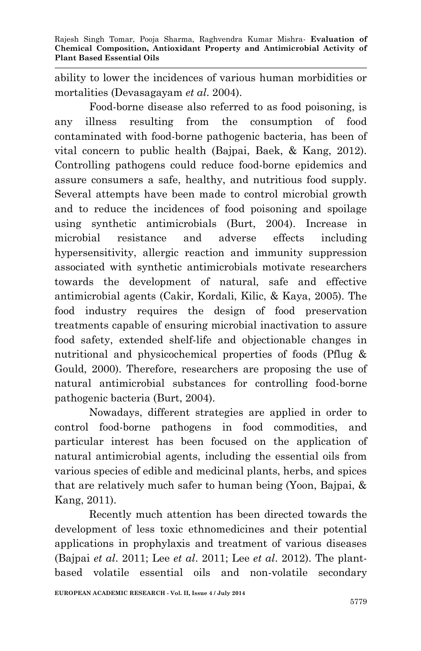ability to lower the incidences of various human morbidities or mortalities (Devasagayam *et al*. 2004).

Food-borne disease also referred to as food poisoning, is any illness resulting from the consumption of food contaminated with food-borne pathogenic bacteria, has been of vital concern to public health (Bajpai, Baek, & Kang, 2012). Controlling pathogens could reduce food-borne epidemics and assure consumers a safe, healthy, and nutritious food supply. Several attempts have been made to control microbial growth and to reduce the incidences of food poisoning and spoilage using synthetic antimicrobials (Burt, 2004). Increase in microbial resistance and adverse effects including hypersensitivity, allergic reaction and immunity suppression associated with synthetic antimicrobials motivate researchers towards the development of natural, safe and effective antimicrobial agents (Cakir, Kordali, Kilic, & Kaya, 2005). The food industry requires the design of food preservation treatments capable of ensuring microbial inactivation to assure food safety, extended shelf-life and objectionable changes in nutritional and physicochemical properties of foods (Pflug & Gould, 2000). Therefore, researchers are proposing the use of natural antimicrobial substances for controlling food-borne pathogenic bacteria (Burt, 2004).

Nowadays, different strategies are applied in order to control food-borne pathogens in food commodities, and particular interest has been focused on the application of natural antimicrobial agents, including the essential oils from various species of edible and medicinal plants, herbs, and spices that are relatively much safer to human being (Yoon, Bajpai, & Kang, 2011).

Recently much attention has been directed towards the development of less toxic ethnomedicines and their potential applications in prophylaxis and treatment of various diseases (Bajpai *et al*. 2011; Lee *et al*. 2011; Lee *et al*. 2012). The plantbased volatile essential oils and non-volatile secondary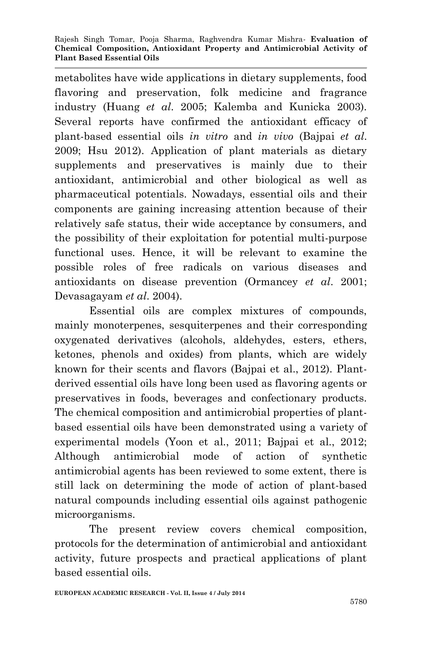metabolites have wide applications in dietary supplements, food flavoring and preservation, folk medicine and fragrance industry (Huang *et al*. 2005; Kalemba and Kunicka 2003). Several reports have confirmed the antioxidant efficacy of plant-based essential oils *in vitro* and *in vivo* (Bajpai *et al*. 2009; Hsu 2012). Application of plant materials as dietary supplements and preservatives is mainly due to their antioxidant, antimicrobial and other biological as well as pharmaceutical potentials. Nowadays, essential oils and their components are gaining increasing attention because of their relatively safe status, their wide acceptance by consumers, and the possibility of their exploitation for potential multi-purpose functional uses. Hence, it will be relevant to examine the possible roles of free radicals on various diseases and antioxidants on disease prevention (Ormancey *et al*. 2001; Devasagayam *et al*. 2004).

Essential oils are complex mixtures of compounds, mainly monoterpenes, sesquiterpenes and their corresponding oxygenated derivatives (alcohols, aldehydes, esters, ethers, ketones, phenols and oxides) from plants, which are widely known for their scents and flavors (Bajpai et al., 2012). Plantderived essential oils have long been used as flavoring agents or preservatives in foods, beverages and confectionary products. The chemical composition and antimicrobial properties of plantbased essential oils have been demonstrated using a variety of experimental models (Yoon et al., 2011; Bajpai et al., 2012; Although antimicrobial mode of action of synthetic antimicrobial agents has been reviewed to some extent, there is still lack on determining the mode of action of plant-based natural compounds including essential oils against pathogenic microorganisms.

The present review covers chemical composition, protocols for the determination of antimicrobial and antioxidant activity, future prospects and practical applications of plant based essential oils.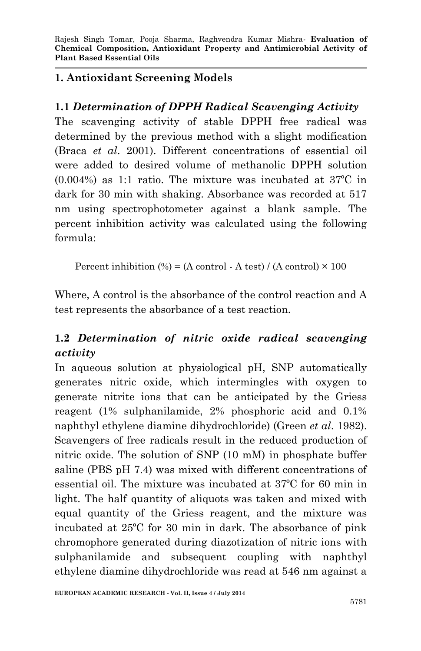#### **1. Antioxidant Screening Models**

### **1.1** *Determination of DPPH Radical Scavenging Activity*

The scavenging activity of stable DPPH free radical was determined by the previous method with a slight modification (Braca *et al*. 2001). Different concentrations of essential oil were added to desired volume of methanolic DPPH solution (0.004%) as 1:1 ratio. The mixture was incubated at 37ºC in dark for 30 min with shaking. Absorbance was recorded at 517 nm using spectrophotometer against a blank sample. The percent inhibition activity was calculated using the following formula:

Percent inhibition  $\left(\% \right) = (A \text{ control - } A \text{ test}) / (A \text{ control}) \times 100$ 

Where, A control is the absorbance of the control reaction and A test represents the absorbance of a test reaction.

# **1.2** *Determination of nitric oxide radical scavenging activity*

In aqueous solution at physiological pH, SNP automatically generates nitric oxide, which intermingles with oxygen to generate nitrite ions that can be anticipated by the Griess reagent (1% sulphanilamide, 2% phosphoric acid and 0.1% naphthyl ethylene diamine dihydrochloride) (Green *et al*. 1982). Scavengers of free radicals result in the reduced production of nitric oxide. The solution of SNP (10 mM) in phosphate buffer saline (PBS pH 7.4) was mixed with different concentrations of essential oil. The mixture was incubated at 37ºC for 60 min in light. The half quantity of aliquots was taken and mixed with equal quantity of the Griess reagent, and the mixture was incubated at 25ºC for 30 min in dark. The absorbance of pink chromophore generated during diazotization of nitric ions with sulphanilamide and subsequent coupling with naphthyl ethylene diamine dihydrochloride was read at 546 nm against a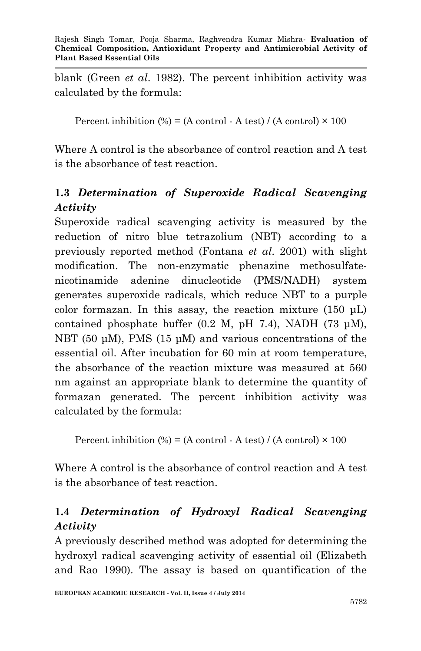blank (Green *et al*. 1982). The percent inhibition activity was calculated by the formula:

Percent inhibition  $\left(\% \right) = (A \text{ control - } A \text{ test}) / (A \text{ control}) \times 100$ 

Where A control is the absorbance of control reaction and A test is the absorbance of test reaction.

### **1.3** *Determination of Superoxide Radical Scavenging Activity*

Superoxide radical scavenging activity is measured by the reduction of nitro blue tetrazolium (NBT) according to a previously reported method (Fontana *et al*. 2001) with slight modification. The non-enzymatic phenazine methosulfatenicotinamide adenine dinucleotide (PMS/NADH) system generates superoxide radicals, which reduce NBT to a purple color formazan. In this assay, the reaction mixture (150 μL) contained phosphate buffer  $(0.2 \text{ M}, \text{pH} 7.4)$ , NADH  $(73 \text{ µM})$ , NBT (50 μM), PMS (15 μM) and various concentrations of the essential oil. After incubation for 60 min at room temperature, the absorbance of the reaction mixture was measured at 560 nm against an appropriate blank to determine the quantity of formazan generated. The percent inhibition activity was calculated by the formula:

Percent inhibition  $\left(\% \right) = (A \text{ control - } A \text{ test}) / (A \text{ control}) \times 100$ 

Where A control is the absorbance of control reaction and A test is the absorbance of test reaction.

### **1.4** *Determination of Hydroxyl Radical Scavenging Activity*

A previously described method was adopted for determining the hydroxyl radical scavenging activity of essential oil (Elizabeth and Rao 1990). The assay is based on quantification of the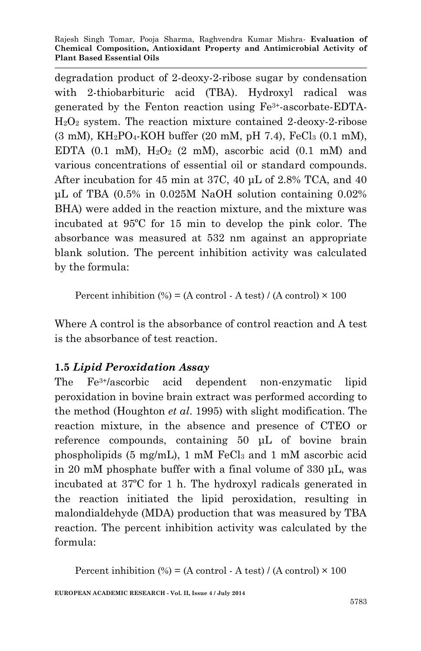degradation product of 2-deoxy-2-ribose sugar by condensation with 2-thiobarbituric acid (TBA). Hydroxyl radical was generated by the Fenton reaction using Fe3+-ascorbate-EDTA-H2O<sup>2</sup> system. The reaction mixture contained 2-deoxy-2-ribose  $(3 \text{ mM})$ ,  $KH_2PO_4$ -KOH buffer  $(20 \text{ mM}, \text{pH } 7.4)$ ,  $FeCl_3 (0.1 \text{ mM})$ , EDTA  $(0.1 \text{ mM})$ ,  $H_2O_2$   $(2 \text{ mM})$ , ascorbic acid  $(0.1 \text{ mM})$  and various concentrations of essential oil or standard compounds. After incubation for 45 min at 37C, 40 μL of 2.8% TCA, and 40 μL of TBA (0.5% in 0.025M NaOH solution containing 0.02% BHA) were added in the reaction mixture, and the mixture was incubated at 95ºC for 15 min to develop the pink color. The absorbance was measured at 532 nm against an appropriate blank solution. The percent inhibition activity was calculated by the formula:

Percent inhibition  $\left(\% \right) = (A \text{ control - } A \text{ test}) / (A \text{ control}) \times 100$ 

Where A control is the absorbance of control reaction and A test is the absorbance of test reaction.

#### **1.5** *Lipid Peroxidation Assay*

The Fe3+/ascorbic acid dependent non-enzymatic lipid peroxidation in bovine brain extract was performed according to the method (Houghton *et al*. 1995) with slight modification. The reaction mixture, in the absence and presence of CTEO or reference compounds, containing 50 μL of bovine brain phospholipids  $(5 \text{ mg/mL})$ , 1 mM FeCl<sub>3</sub> and 1 mM ascorbic acid in 20 mM phosphate buffer with a final volume of 330 μL, was incubated at 37ºC for 1 h. The hydroxyl radicals generated in the reaction initiated the lipid peroxidation, resulting in malondialdehyde (MDA) production that was measured by TBA reaction. The percent inhibition activity was calculated by the formula:

Percent inhibition  $\left(\% \right) = (A \text{ control - } A \text{ test}) / (A \text{ control}) \times 100$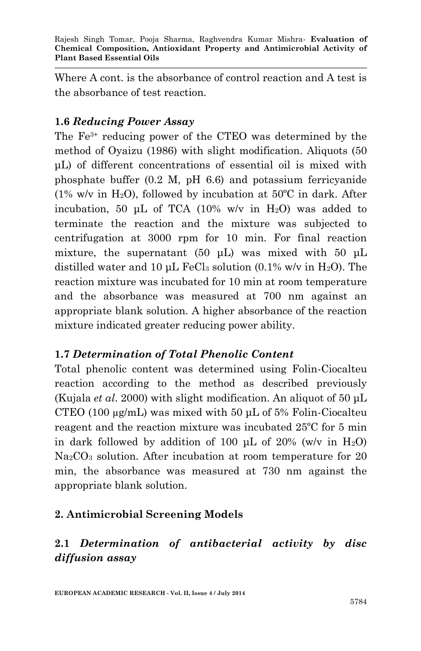Where A cont. is the absorbance of control reaction and A test is the absorbance of test reaction.

### **1.6** *Reducing Power Assay*

The Fe3+ reducing power of the CTEO was determined by the method of Oyaizu (1986) with slight modification. Aliquots (50 μL) of different concentrations of essential oil is mixed with phosphate buffer (0.2 M, pH 6.6) and potassium ferricyanide (1% w/v in H<sub>2</sub>O), followed by incubation at  $50^{\circ}$ C in dark. After incubation, 50 μL of TCA (10% w/v in  $H_2O$ ) was added to terminate the reaction and the mixture was subjected to centrifugation at 3000 rpm for 10 min. For final reaction mixture, the supernatant  $(50 \mu L)$  was mixed with  $50 \mu L$ distilled water and 10 μL FeCl<sub>3</sub> solution  $(0.1\% \text{ w/v in H}_2\text{O})$ . The reaction mixture was incubated for 10 min at room temperature and the absorbance was measured at 700 nm against an appropriate blank solution. A higher absorbance of the reaction mixture indicated greater reducing power ability.

#### **1.7** *Determination of Total Phenolic Content*

Total phenolic content was determined using Folin-Ciocalteu reaction according to the method as described previously (Kujala *et al*. 2000) with slight modification. An aliquot of 50 μL CTEO (100 µg/mL) was mixed with 50 μL of 5% Folin-Ciocalteu reagent and the reaction mixture was incubated 25ºC for 5 min in dark followed by addition of 100 μL of 20% (w/v in  $H_2O$ ) Na<sub>2</sub>CO<sub>3</sub> solution. After incubation at room temperature for 20 min, the absorbance was measured at 730 nm against the appropriate blank solution.

### **2. Antimicrobial Screening Models**

## **2.1** *Determination of antibacterial activity by disc diffusion assay*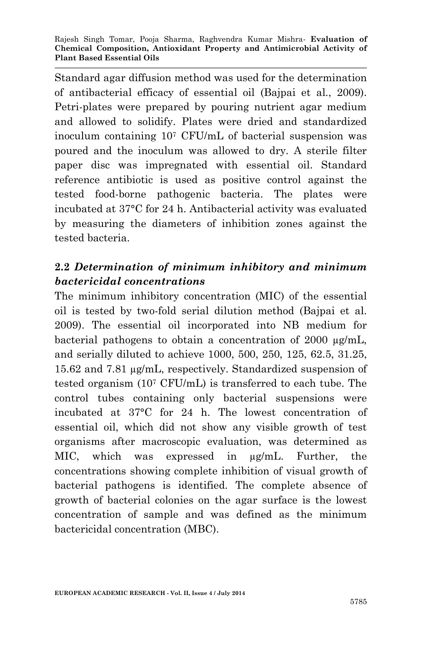Standard agar diffusion method was used for the determination of antibacterial efficacy of essential oil (Bajpai et al., 2009). Petri-plates were prepared by pouring nutrient agar medium and allowed to solidify. Plates were dried and standardized inoculum containing 10<sup>7</sup> CFU/mL of bacterial suspension was poured and the inoculum was allowed to dry. A sterile filter paper disc was impregnated with essential oil. Standard reference antibiotic is used as positive control against the tested food-borne pathogenic bacteria. The plates were incubated at 37°C for 24 h. Antibacterial activity was evaluated by measuring the diameters of inhibition zones against the tested bacteria.

### **2.2** *Determination of minimum inhibitory and minimum bactericidal concentrations*

The minimum inhibitory concentration (MIC) of the essential oil is tested by two-fold serial dilution method (Bajpai et al. 2009). The essential oil incorporated into NB medium for bacterial pathogens to obtain a concentration of 2000 µg/mL, and serially diluted to achieve 1000, 500, 250, 125, 62.5, 31.25, 15.62 and 7.81 µg/mL, respectively. Standardized suspension of tested organism (10<sup>7</sup> CFU/mL) is transferred to each tube. The control tubes containing only bacterial suspensions were incubated at 37°C for 24 h. The lowest concentration of essential oil, which did not show any visible growth of test organisms after macroscopic evaluation, was determined as MIC, which was expressed in µg/mL. Further, the concentrations showing complete inhibition of visual growth of bacterial pathogens is identified. The complete absence of growth of bacterial colonies on the agar surface is the lowest concentration of sample and was defined as the minimum bactericidal concentration (MBC).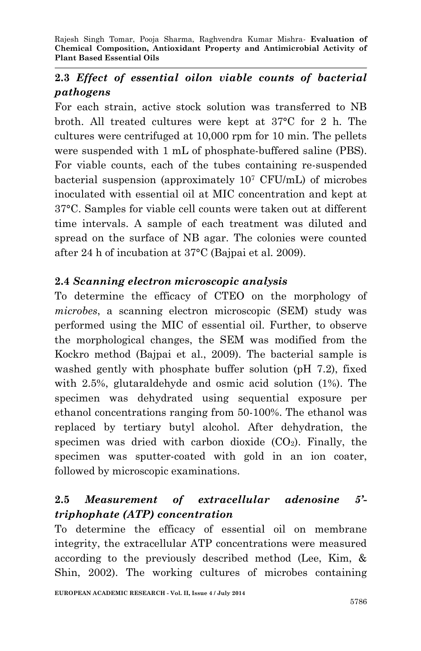## **2.3** *Effect of essential oilon viable counts of bacterial pathogens*

For each strain, active stock solution was transferred to NB broth. All treated cultures were kept at 37°C for 2 h. The cultures were centrifuged at 10,000 rpm for 10 min. The pellets were suspended with 1 mL of phosphate-buffered saline (PBS). For viable counts, each of the tubes containing re-suspended bacterial suspension (approximately 10<sup>7</sup> CFU/mL) of microbes inoculated with essential oil at MIC concentration and kept at 37°C. Samples for viable cell counts were taken out at different time intervals. A sample of each treatment was diluted and spread on the surface of NB agar. The colonies were counted after 24 h of incubation at 37°C (Bajpai et al. 2009).

### **2.4** *Scanning electron microscopic analysis*

To determine the efficacy of CTEO on the morphology of *microbes*, a scanning electron microscopic (SEM) study was performed using the MIC of essential oil. Further, to observe the morphological changes, the SEM was modified from the Kockro method (Bajpai et al., 2009). The bacterial sample is washed gently with phosphate buffer solution (pH 7.2), fixed with 2.5%, glutaraldehyde and osmic acid solution (1%). The specimen was dehydrated using sequential exposure per ethanol concentrations ranging from 50-100%. The ethanol was replaced by tertiary butyl alcohol. After dehydration, the specimen was dried with carbon dioxide  $(CO_2)$ . Finally, the specimen was sputter-coated with gold in an ion coater, followed by microscopic examinations.

### **2.5** *Measurement of extracellular adenosine 5' triphophate (ATP) concentration*

To determine the efficacy of essential oil on membrane integrity, the extracellular ATP concentrations were measured according to the previously described method (Lee, Kim, & Shin, 2002). The working cultures of microbes containing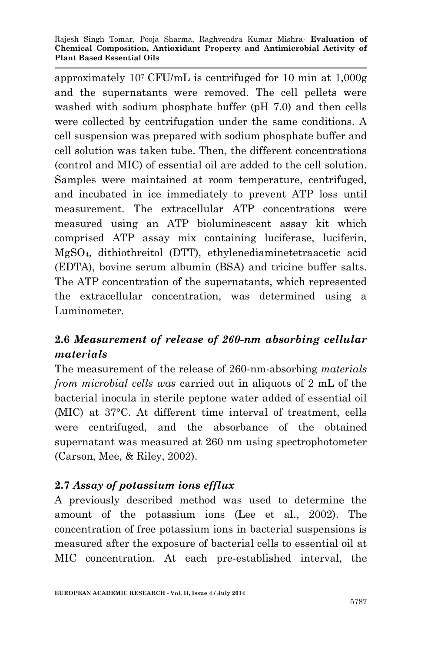approximately 107 CFU/mL is centrifuged for 10 min at 1,000g and the supernatants were removed. The cell pellets were washed with sodium phosphate buffer (pH 7.0) and then cells were collected by centrifugation under the same conditions. A cell suspension was prepared with sodium phosphate buffer and cell solution was taken tube. Then, the different concentrations (control and MIC) of essential oil are added to the cell solution. Samples were maintained at room temperature, centrifuged, and incubated in ice immediately to prevent ATP loss until measurement. The extracellular ATP concentrations were measured using an ATP bioluminescent assay kit which comprised ATP assay mix containing luciferase, luciferin, MgSO4, dithiothreitol (DTT), ethylenediaminetetraacetic acid (EDTA), bovine serum albumin (BSA) and tricine buffer salts. The ATP concentration of the supernatants, which represented the extracellular concentration, was determined using a Luminometer.

### **2.6** *Measurement of release of 260-nm absorbing cellular materials*

The measurement of the release of 260-nm-absorbing *materials from microbial cells was* carried out in aliquots of 2 mL of the bacterial inocula in sterile peptone water added of essential oil (MIC) at 37°C. At different time interval of treatment, cells were centrifuged, and the absorbance of the obtained supernatant was measured at 260 nm using spectrophotometer (Carson, Mee, & Riley, 2002).

#### **2.7** *Assay of potassium ions efflux*

A previously described method was used to determine the amount of the potassium ions (Lee et al., 2002). The concentration of free potassium ions in bacterial suspensions is measured after the exposure of bacterial cells to essential oil at MIC concentration. At each pre-established interval, the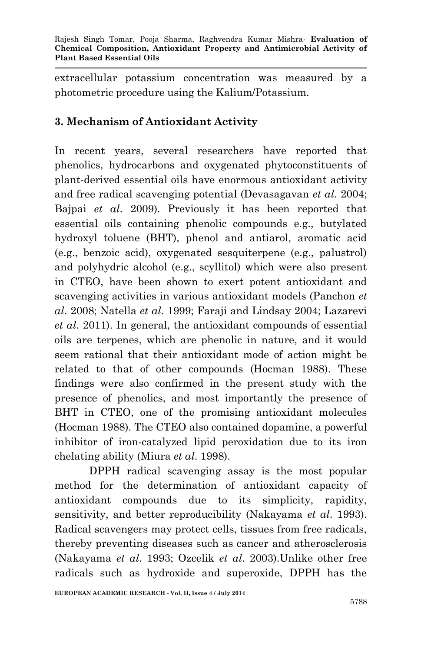extracellular potassium concentration was measured by a photometric procedure using the Kalium/Potassium.

### **3. Mechanism of Antioxidant Activity**

In recent years, several researchers have reported that phenolics, hydrocarbons and oxygenated phytoconstituents of plant-derived essential oils have enormous antioxidant activity and free radical scavenging potential (Devasagavan *et al*. 2004; Bajpai *et al*. 2009). Previously it has been reported that essential oils containing phenolic compounds e.g., butylated hydroxyl toluene (BHT), phenol and antiarol, aromatic acid (e.g., benzoic acid), oxygenated sesquiterpene (e.g., palustrol) and polyhydric alcohol (e.g., scyllitol) which were also present in CTEO, have been shown to exert potent antioxidant and scavenging activities in various antioxidant models (Panchon *et al*. 2008; Natella *et al*. 1999; Faraji and Lindsay 2004; Lazarevi *et al*. 2011). In general, the antioxidant compounds of essential oils are terpenes, which are phenolic in nature, and it would seem rational that their antioxidant mode of action might be related to that of other compounds (Hocman 1988). These findings were also confirmed in the present study with the presence of phenolics, and most importantly the presence of BHT in CTEO, one of the promising antioxidant molecules (Hocman 1988). The CTEO also contained dopamine, a powerful inhibitor of iron-catalyzed lipid peroxidation due to its iron chelating ability (Miura *et al*. 1998).

DPPH radical scavenging assay is the most popular method for the determination of antioxidant capacity of antioxidant compounds due to its simplicity, rapidity, sensitivity, and better reproducibility (Nakayama *et al*. 1993). Radical scavengers may protect cells, tissues from free radicals, thereby preventing diseases such as cancer and atherosclerosis (Nakayama *et al*. 1993; Ozcelik *et al*. 2003).Unlike other free radicals such as hydroxide and superoxide, DPPH has the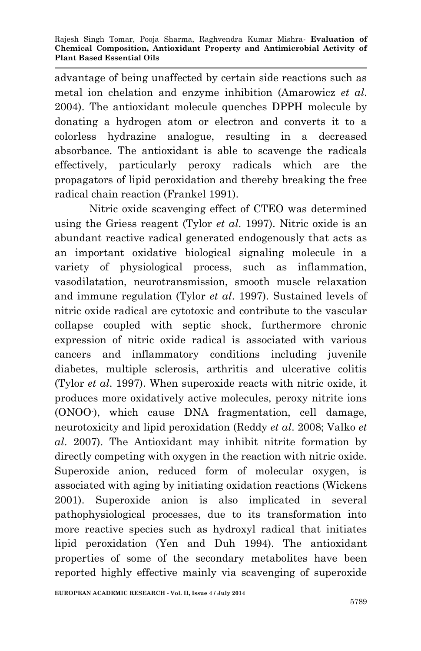advantage of being unaffected by certain side reactions such as metal ion chelation and enzyme inhibition (Amarowicz *et al*. 2004). The antioxidant molecule quenches DPPH molecule by donating a hydrogen atom or electron and converts it to a colorless hydrazine analogue, resulting in a decreased absorbance. The antioxidant is able to scavenge the radicals effectively, particularly peroxy radicals which are the propagators of lipid peroxidation and thereby breaking the free radical chain reaction (Frankel 1991).

Nitric oxide scavenging effect of CTEO was determined using the Griess reagent (Tylor *et al*. 1997). Nitric oxide is an abundant reactive radical generated endogenously that acts as an important oxidative biological signaling molecule in a variety of physiological process, such as inflammation, vasodilatation, neurotransmission, smooth muscle relaxation and immune regulation (Tylor *et al*. 1997). Sustained levels of nitric oxide radical are cytotoxic and contribute to the vascular collapse coupled with septic shock, furthermore chronic expression of nitric oxide radical is associated with various cancers and inflammatory conditions including juvenile diabetes, multiple sclerosis, arthritis and ulcerative colitis (Tylor *et al*. 1997). When superoxide reacts with nitric oxide, it produces more oxidatively active molecules, peroxy nitrite ions (ONOO- ), which cause DNA fragmentation, cell damage, neurotoxicity and lipid peroxidation (Reddy *et al*. 2008; Valko *et al*. 2007). The Antioxidant may inhibit nitrite formation by directly competing with oxygen in the reaction with nitric oxide. Superoxide anion, reduced form of molecular oxygen, is associated with aging by initiating oxidation reactions (Wickens 2001). Superoxide anion is also implicated in several pathophysiological processes, due to its transformation into more reactive species such as hydroxyl radical that initiates lipid peroxidation (Yen and Duh 1994). The antioxidant properties of some of the secondary metabolites have been reported highly effective mainly via scavenging of superoxide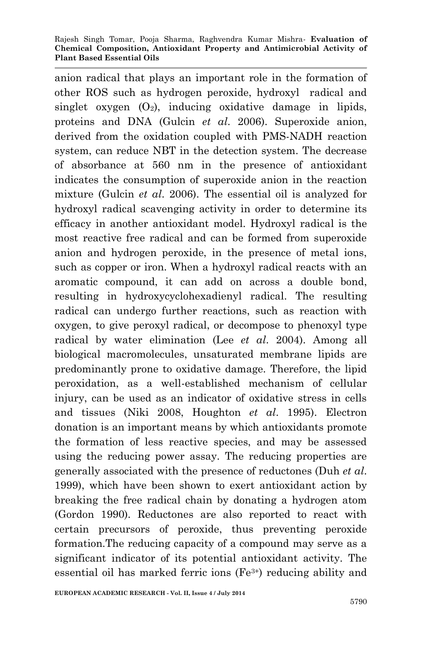anion radical that plays an important role in the formation of other ROS such as hydrogen peroxide, hydroxyl radical and singlet oxygen  $(O_2)$ , inducing oxidative damage in lipids, proteins and DNA (Gulcin *et al*. 2006). Superoxide anion, derived from the oxidation coupled with PMS-NADH reaction system, can reduce NBT in the detection system. The decrease of absorbance at 560 nm in the presence of antioxidant indicates the consumption of superoxide anion in the reaction mixture (Gulcin *et al*. 2006). The essential oil is analyzed for hydroxyl radical scavenging activity in order to determine its efficacy in another antioxidant model. Hydroxyl radical is the most reactive free radical and can be formed from superoxide anion and hydrogen peroxide, in the presence of metal ions, such as copper or iron. When a hydroxyl radical reacts with an aromatic compound, it can add on across a double bond, resulting in hydroxycyclohexadienyl radical. The resulting radical can undergo further reactions, such as reaction with oxygen, to give peroxyl radical, or decompose to phenoxyl type radical by water elimination (Lee *et al*. 2004). Among all biological macromolecules, unsaturated membrane lipids are predominantly prone to oxidative damage. Therefore, the lipid peroxidation, as a well-established mechanism of cellular injury, can be used as an indicator of oxidative stress in cells and tissues (Niki 2008, Houghton *et al*. 1995). Electron donation is an important means by which antioxidants promote the formation of less reactive species, and may be assessed using the reducing power assay. The reducing properties are generally associated with the presence of reductones (Duh *et al*. 1999), which have been shown to exert antioxidant action by breaking the free radical chain by donating a hydrogen atom (Gordon 1990). Reductones are also reported to react with certain precursors of peroxide, thus preventing peroxide formation.The reducing capacity of a compound may serve as a significant indicator of its potential antioxidant activity. The essential oil has marked ferric ions (Fe3+) reducing ability and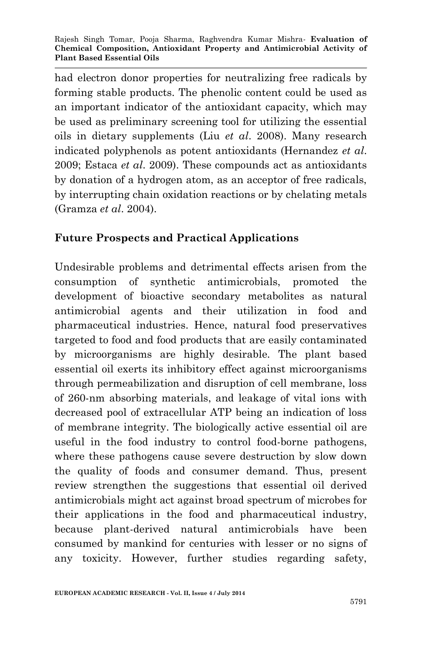had electron donor properties for neutralizing free radicals by forming stable products. The phenolic content could be used as an important indicator of the antioxidant capacity, which may be used as preliminary screening tool for utilizing the essential oils in dietary supplements (Liu *et al*. 2008). Many research indicated polyphenols as potent antioxidants (Hernandez *et al*. 2009; Estaca *et al*. 2009). These compounds act as antioxidants by donation of a hydrogen atom, as an acceptor of free radicals, by interrupting chain oxidation reactions or by chelating metals (Gramza *et al*. 2004).

#### **Future Prospects and Practical Applications**

Undesirable problems and detrimental effects arisen from the consumption of synthetic antimicrobials, promoted the development of bioactive secondary metabolites as natural antimicrobial agents and their utilization in food and pharmaceutical industries. Hence, natural food preservatives targeted to food and food products that are easily contaminated by microorganisms are highly desirable. The plant based essential oil exerts its inhibitory effect against microorganisms through permeabilization and disruption of cell membrane, loss of 260-nm absorbing materials, and leakage of vital ions with decreased pool of extracellular ATP being an indication of loss of membrane integrity. The biologically active essential oil are useful in the food industry to control food-borne pathogens, where these pathogens cause severe destruction by slow down the quality of foods and consumer demand. Thus, present review strengthen the suggestions that essential oil derived antimicrobials might act against broad spectrum of microbes for their applications in the food and pharmaceutical industry, because plant-derived natural antimicrobials have been consumed by mankind for centuries with lesser or no signs of any toxicity. However, further studies regarding safety,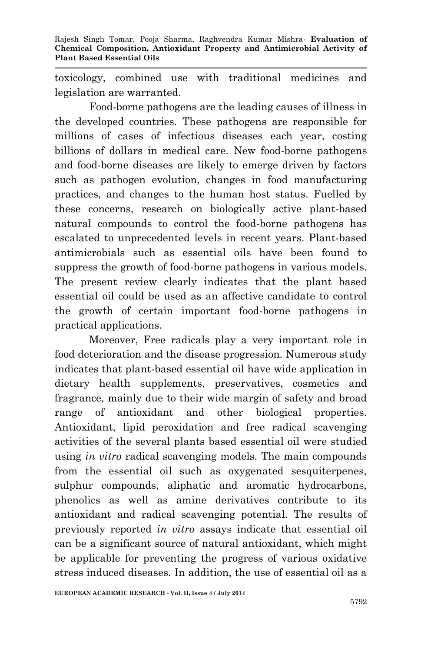toxicology, combined use with traditional medicines and legislation are warranted.

Food-borne pathogens are the leading causes of illness in the developed countries. These pathogens are responsible for millions of cases of infectious diseases each year, costing billions of dollars in medical care. New food-borne pathogens and food-borne diseases are likely to emerge driven by factors such as pathogen evolution, changes in food manufacturing practices, and changes to the human host status. Fuelled by these concerns, research on biologically active plant-based natural compounds to control the food-borne pathogens has escalated to unprecedented levels in recent years. Plant-based antimicrobials such as essential oils have been found to suppress the growth of food-borne pathogens in various models. The present review clearly indicates that the plant based essential oil could be used as an affective candidate to control the growth of certain important food-borne pathogens in practical applications.

Moreover, Free radicals play a very important role in food deterioration and the disease progression. Numerous study indicates that plant-based essential oil have wide application in dietary health supplements, preservatives, cosmetics and fragrance, mainly due to their wide margin of safety and broad range of antioxidant and other biological properties. Antioxidant, lipid peroxidation and free radical scavenging activities of the several plants based essential oil were studied using *in vitro* radical scavenging models. The main compounds from the essential oil such as oxygenated sesquiterpenes, sulphur compounds, aliphatic and aromatic hydrocarbons, phenolics as well as amine derivatives contribute to its antioxidant and radical scavenging potential. The results of previously reported *in vitro* assays indicate that essential oil can be a significant source of natural antioxidant, which might be applicable for preventing the progress of various oxidative stress induced diseases. In addition, the use of essential oil as a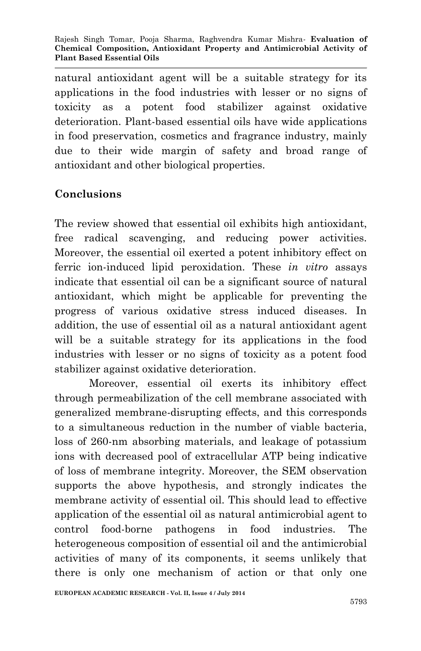natural antioxidant agent will be a suitable strategy for its applications in the food industries with lesser or no signs of toxicity as a potent food stabilizer against oxidative deterioration. Plant-based essential oils have wide applications in food preservation, cosmetics and fragrance industry, mainly due to their wide margin of safety and broad range of antioxidant and other biological properties.

#### **Conclusions**

The review showed that essential oil exhibits high antioxidant, free radical scavenging, and reducing power activities. Moreover, the essential oil exerted a potent inhibitory effect on ferric ion-induced lipid peroxidation. These *in vitro* assays indicate that essential oil can be a significant source of natural antioxidant, which might be applicable for preventing the progress of various oxidative stress induced diseases. In addition, the use of essential oil as a natural antioxidant agent will be a suitable strategy for its applications in the food industries with lesser or no signs of toxicity as a potent food stabilizer against oxidative deterioration.

Moreover, essential oil exerts its inhibitory effect through permeabilization of the cell membrane associated with generalized membrane-disrupting effects, and this corresponds to a simultaneous reduction in the number of viable bacteria, loss of 260-nm absorbing materials, and leakage of potassium ions with decreased pool of extracellular ATP being indicative of loss of membrane integrity. Moreover, the SEM observation supports the above hypothesis, and strongly indicates the membrane activity of essential oil. This should lead to effective application of the essential oil as natural antimicrobial agent to control food-borne pathogens in food industries. The heterogeneous composition of essential oil and the antimicrobial activities of many of its components, it seems unlikely that there is only one mechanism of action or that only one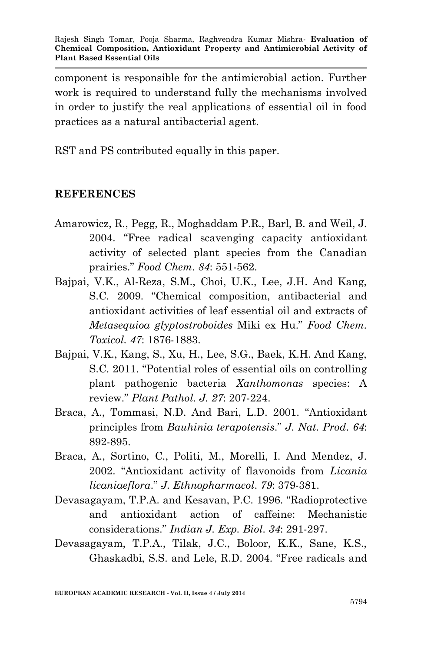component is responsible for the antimicrobial action. Further work is required to understand fully the mechanisms involved in order to justify the real applications of essential oil in food practices as a natural antibacterial agent.

RST and PS contributed equally in this paper.

#### **REFERENCES**

- Amarowicz, R., Pegg, R., Moghaddam P.R., Barl, B. and Weil, J. 2004. "Free radical scavenging capacity antioxidant activity of selected plant species from the Canadian prairies." *Food Chem*. *84*: 551-562.
- Bajpai, V.K., Al-Reza, S.M., Choi, U.K., Lee, J.H. And Kang, S.C. 2009. "Chemical composition, antibacterial and antioxidant activities of leaf essential oil and extracts of *Metasequioa glyptostroboides* Miki ex Hu." *Food Chem. Toxicol. 47*: 1876-1883.
- Bajpai, V.K., Kang, S., Xu, H., Lee, S.G., Baek, K.H. And Kang, S.C. 2011. "Potential roles of essential oils on controlling plant pathogenic bacteria *Xanthomonas* species: A review." *Plant Pathol. J. 27*: 207-224.
- Braca, A., Tommasi, N.D. And Bari, L.D. 2001. "Antioxidant principles from *Bauhinia terapotensis*." *J. Nat. Prod*. *64*: 892-895.
- Braca, A., Sortino, C., Politi, M., Morelli, I. And Mendez, J. 2002. "Antioxidant activity of flavonoids from *Licania licaniaeflora*." *J. Ethnopharmacol*. *79*: 379-381.
- Devasagayam, T.P.A. and Kesavan, P.C. 1996. "Radioprotective and antioxidant action of caffeine: Mechanistic considerations." *Indian J. Exp. Biol*. *34*: 291-297.
- Devasagayam, T.P.A., Tilak, J.C., Boloor, K.K., Sane, K.S., Ghaskadbi, S.S. and Lele, R.D. 2004. "Free radicals and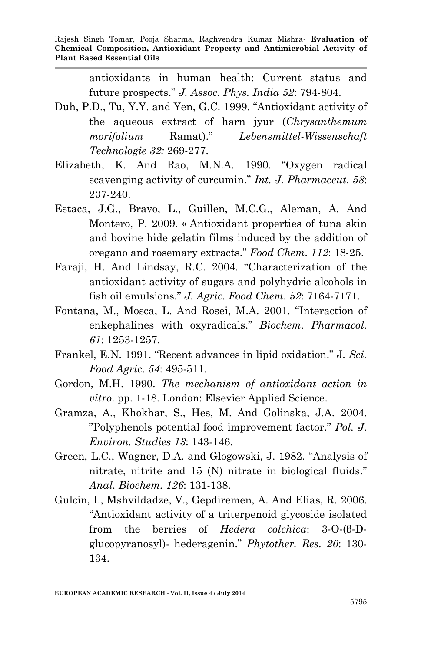antioxidants in human health: Current status and future prospects." *J. Assoc. Phys. India 52*: 794-804.

- Duh, P.D., Tu, Y.Y. and Yen, G.C. 1999. "Antioxidant activity of the aqueous extract of harn jyur (*Chrysanthemum morifolium* Ramat)." *Lebensmittel-Wissenschaft Technologie 32:* 269-277.
- Elizabeth, K. And Rao, M.N.A. 1990. "Oxygen radical scavenging activity of curcumin." *Int. J. Pharmaceut*. *58*: 237-240.
- Estaca, J.G., Bravo, L., Guillen, M.C.G., Aleman, A. And Montero, P. 2009. « Antioxidant properties of tuna skin and bovine hide gelatin films induced by the addition of oregano and rosemary extracts." *Food Chem*. *112*: 18-25.
- Faraji, H. And Lindsay, R.C. 2004. "Characterization of the antioxidant activity of sugars and polyhydric alcohols in fish oil emulsions." *J. Agric. Food Chem*. *52*: 7164-7171.
- Fontana, M., Mosca, L. And Rosei, M.A. 2001. "Interaction of enkephalines with oxyradicals." *Biochem. Pharmacol. 61*: 1253-1257.
- Frankel, E.N. 1991. "Recent advances in lipid oxidation." J*. Sci. Food Agric*. *54*: 495-511.
- Gordon, M.H. 1990. *The mechanism of antioxidant action in vitro*. pp. 1-18. London: Elsevier Applied Science.
- Gramza, A., Khokhar, S., Hes, M. And Golinska, J.A. 2004. "Polyphenols potential food improvement factor." *Pol. J. Environ. Studies 13*: 143-146.
- Green, L.C., Wagner, D.A. and Glogowski, J. 1982. "Analysis of nitrate, nitrite and 15 (N) nitrate in biological fluids." *Anal. Biochem. 126*: 131-138.
- Gulcin, I., Mshvildadze, V., Gepdiremen, A. And Elias, R. 2006. "Antioxidant activity of a triterpenoid glycoside isolated from the berries of *Hedera colchica*: 3-O-(β-Dglucopyranosyl)- hederagenin." *Phytother. Res. 20*: 130- 134.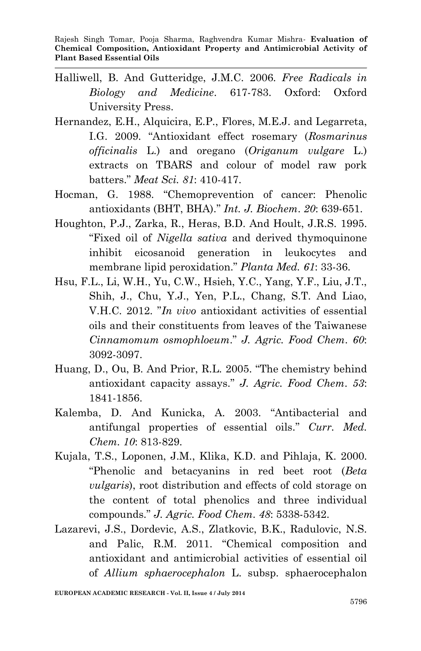- Halliwell, B. And Gutteridge, J.M.C. 2006. *Free Radicals in Biology and Medicine*. 617-783. Oxford: Oxford University Press.
- Hernandez, E.H., Alquicira, E.P., Flores, M.E.J. and Legarreta, I.G. 2009. "Antioxidant effect rosemary (*Rosmarinus officinalis* L.) and oregano (*Origanum vulgare* L.) extracts on TBARS and colour of model raw pork batters." *Meat Sci. 81*: 410-417.
- Hocman, G. 1988. "Chemoprevention of cancer: Phenolic antioxidants (BHT, BHA)." *Int. J. Biochem*. *20*: 639-651.
- Houghton, P.J., Zarka, R., Heras, B.D. And Hoult, J.R.S. 1995. "Fixed oil of *Nigella sativa* and derived thymoquinone inhibit eicosanoid generation in leukocytes and membrane lipid peroxidation." *Planta Med. 61*: 33-36.
- Hsu, F.L., Li, W.H., Yu, C.W., Hsieh, Y.C., Yang, Y.F., Liu, J.T., Shih, J., Chu, Y.J., Yen, P.L., Chang, S.T. And Liao, V.H.C. 2012. "*In vivo* antioxidant activities of essential oils and their constituents from leaves of the Taiwanese *Cinnamomum osmophloeum*." *J. Agric. Food Chem*. *60*: 3092-3097.
- Huang, D., Ou, B. And Prior, R.L. 2005. "The chemistry behind antioxidant capacity assays." *J. Agric. Food Chem*. *53*: 1841-1856.
- Kalemba, D. And Kunicka, A. 2003. "Antibacterial and antifungal properties of essential oils." *Curr. Med. Chem. 10*: 813-829.
- Kujala, T.S., Loponen, J.M., Klika, K.D. and Pihlaja, K. 2000. "Phenolic and betacyanins in red beet root (*Beta vulgaris*), root distribution and effects of cold storage on the content of total phenolics and three individual compounds." *J. Agric. Food Chem*. *48*: 5338-5342.
- Lazarevi, J.S., Dordevic, A.S., Zlatkovic, B.K., Radulovic, N.S. and Palic, R.M. 2011. "Chemical composition and antioxidant and antimicrobial activities of essential oil of *Allium sphaerocephalon* L. subsp. sphaerocephalon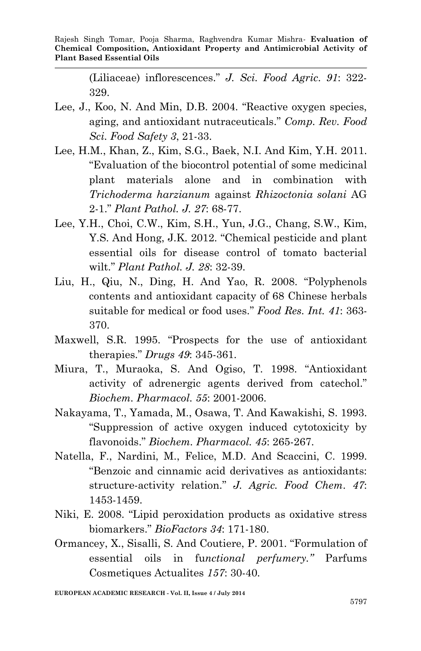(Liliaceae) inflorescences." *J. Sci. Food Agric*. *91*: 322- 329.

- Lee, J., Koo, N. And Min, D.B. 2004. "Reactive oxygen species, aging, and antioxidant nutraceuticals." *Comp. Rev. Food Sci. Food Safety 3*, 21-33.
- Lee, H.M., Khan, Z., Kim, S.G., Baek, N.I. And Kim, Y.H. 2011. "Evaluation of the biocontrol potential of some medicinal plant materials alone and in combination with *Trichoderma harzianum* against *Rhizoctonia solani* AG 2-1." *Plant Pathol. J. 27*: 68-77.
- Lee, Y.H., Choi, C.W., Kim, S.H., Yun, J.G., Chang, S.W., Kim, Y.S. And Hong, J.K. 2012. "Chemical pesticide and plant essential oils for disease control of tomato bacterial wilt." *Plant Pathol. J. 28*: 32-39.
- Liu, H., Qiu, N., Ding, H. And Yao, R. 2008. "Polyphenols contents and antioxidant capacity of 68 Chinese herbals suitable for medical or food uses." *Food Res. Int. 41*: 363- 370.
- Maxwell, S.R. 1995. "Prospects for the use of antioxidant therapies." *Drugs 49*: 345-361.
- Miura, T., Muraoka, S. And Ogiso, T. 1998. "Antioxidant activity of adrenergic agents derived from catechol." *Biochem. Pharmacol. 55*: 2001-2006.
- Nakayama, T., Yamada, M., Osawa, T. And Kawakishi, S. 1993. "Suppression of active oxygen induced cytotoxicity by flavonoids." *Biochem. Pharmacol. 45*: 265-267.
- Natella, F., Nardini, M., Felice, M.D. And Scaccini, C. 1999. "Benzoic and cinnamic acid derivatives as antioxidants: structure-activity relation." *J. Agric. Food Chem*. *47*: 1453-1459.
- Niki, E. 2008. "Lipid peroxidation products as oxidative stress biomarkers." *BioFactors 34*: 171-180.
- Ormancey, X., Sisalli, S. And Coutiere, P. 2001. "Formulation of essential oils in fu*nctional perfumery."* Parfums Cosmetiques Actualites *157*: 30-40.